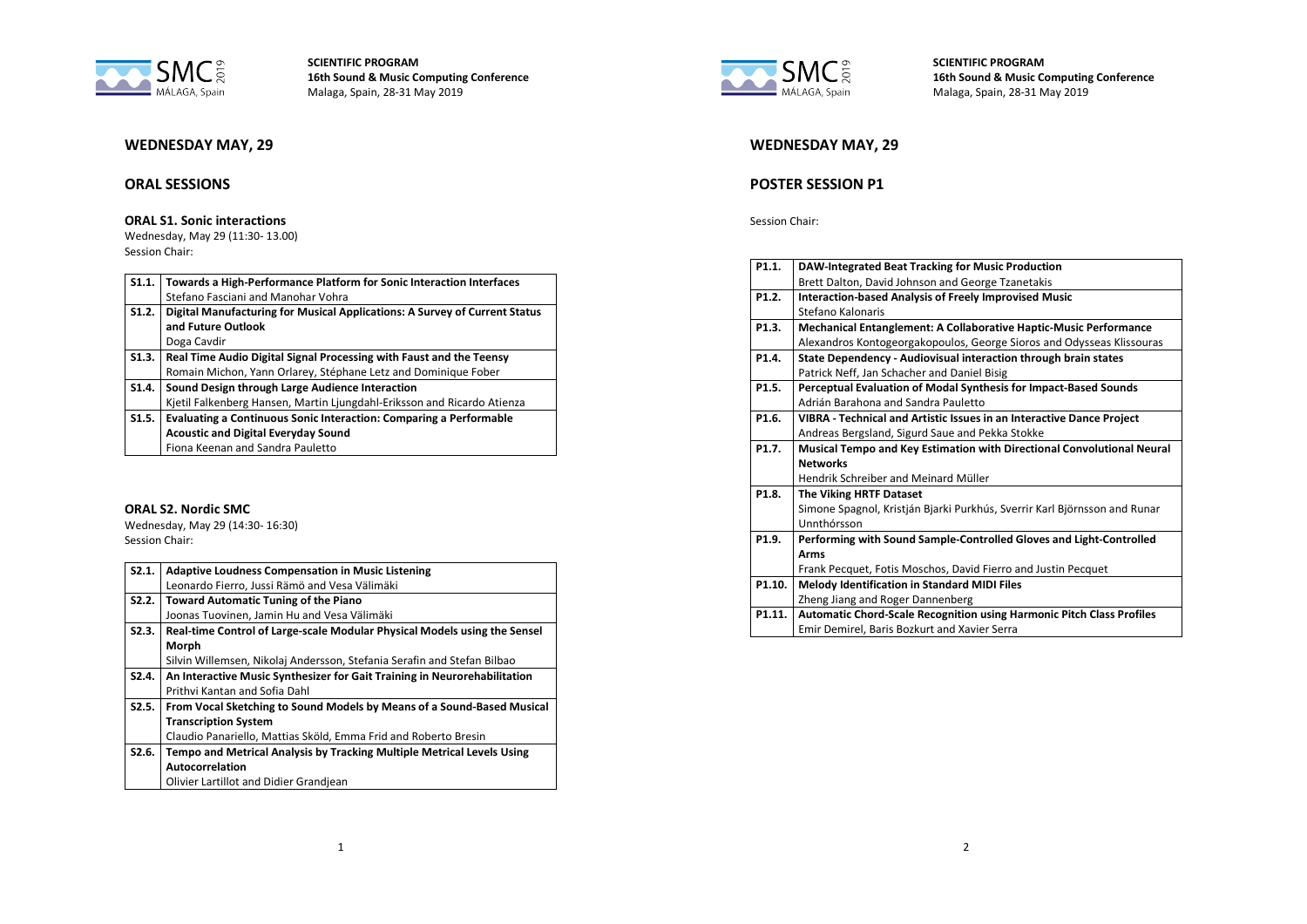

# **WEDNESDAY MAY, 29**

## **ORAL SESSIONS**

### **ORAL S1. Sonic interactions**

Wednesday, May 29 (11:30- 13.00) Session Chair:

| S1.1. | Towards a High-Performance Platform for Sonic Interaction Interfaces       |
|-------|----------------------------------------------------------------------------|
|       | Stefano Fasciani and Manohar Vohra                                         |
| S1.2. | Digital Manufacturing for Musical Applications: A Survey of Current Status |
|       | and Future Outlook                                                         |
|       | Doga Cavdir                                                                |
| S1.3. | Real Time Audio Digital Signal Processing with Faust and the Teensy        |
|       | Romain Michon, Yann Orlarey, Stéphane Letz and Dominique Fober             |
| S1.4. | Sound Design through Large Audience Interaction                            |
|       | Kjetil Falkenberg Hansen, Martin Ljungdahl-Eriksson and Ricardo Atienza    |
| S1.5. | Evaluating a Continuous Sonic Interaction: Comparing a Performable         |
|       | <b>Acoustic and Digital Everyday Sound</b>                                 |
|       | Fiona Keenan and Sandra Pauletto                                           |

### **ORAL S2. Nordic SMC**

Wednesday, May 29 (14:30- 16:30) Session Chair:

| S2.1. | <b>Adaptive Loudness Compensation in Music Listening</b>                  |
|-------|---------------------------------------------------------------------------|
|       | Leonardo Fierro, Jussi Rämö and Vesa Välimäki                             |
| S2.2. | <b>Toward Automatic Tuning of the Piano</b>                               |
|       | Joonas Tuovinen, Jamin Hu and Vesa Välimäki                               |
| S2.3. | Real-time Control of Large-scale Modular Physical Models using the Sensel |
|       | Morph                                                                     |
|       | Silvin Willemsen, Nikolaj Andersson, Stefania Serafin and Stefan Bilbao   |
| S2.4. | An Interactive Music Synthesizer for Gait Training in Neurorehabilitation |
|       | Prithvi Kantan and Sofia Dahl                                             |
| S2.5. | From Vocal Sketching to Sound Models by Means of a Sound-Based Musical    |
|       | <b>Transcription System</b>                                               |
|       | Claudio Panariello, Mattias Sköld, Emma Frid and Roberto Bresin           |
| S2.6. | Tempo and Metrical Analysis by Tracking Multiple Metrical Levels Using    |
|       | Autocorrelation                                                           |
|       | Olivier Lartillot and Didier Grandjean                                    |



**SCIENTIFIC PROGRAM 16th Sound & Music Computing Conference** Malaga, Spain, 28-31 May 2019

# **WEDNESDAY MAY, 29**

# **POSTER SESSION P1**

Session Chair:

| P1.1.              | DAW-Integrated Beat Tracking for Music Production                            |
|--------------------|------------------------------------------------------------------------------|
|                    | Brett Dalton, David Johnson and George Tzanetakis                            |
| P <sub>1.2</sub> . | <b>Interaction-based Analysis of Freely Improvised Music</b>                 |
|                    | Stefano Kalonaris                                                            |
| P1.3.              | <b>Mechanical Entanglement: A Collaborative Haptic-Music Performance</b>     |
|                    | Alexandros Kontogeorgakopoulos, George Sioros and Odysseas Klissouras        |
| P1.4.              | State Dependency - Audiovisual interaction through brain states              |
|                    | Patrick Neff, Jan Schacher and Daniel Bisig                                  |
| P1.5.              | Perceptual Evaluation of Modal Synthesis for Impact-Based Sounds             |
|                    | Adrián Barahona and Sandra Pauletto                                          |
| P1.6.              | VIBRA - Technical and Artistic Issues in an Interactive Dance Project        |
|                    | Andreas Bergsland, Sigurd Saue and Pekka Stokke                              |
| P1.7.              | Musical Tempo and Key Estimation with Directional Convolutional Neural       |
|                    | <b>Networks</b>                                                              |
|                    | Hendrik Schreiber and Meinard Müller                                         |
| P1.8.              | The Viking HRTF Dataset                                                      |
|                    | Simone Spagnol, Kristján Bjarki Purkhús, Sverrir Karl Björnsson and Runar    |
|                    | Unnthórsson                                                                  |
| P1.9.              | Performing with Sound Sample-Controlled Gloves and Light-Controlled          |
|                    | <b>Arms</b>                                                                  |
|                    | Frank Pecquet, Fotis Moschos, David Fierro and Justin Pecquet                |
| P1.10.             | Melody Identification in Standard MIDI Files                                 |
|                    | Zheng Jiang and Roger Dannenberg                                             |
| P1.11.             | <b>Automatic Chord-Scale Recognition using Harmonic Pitch Class Profiles</b> |
|                    | Emir Demirel, Baris Bozkurt and Xavier Serra                                 |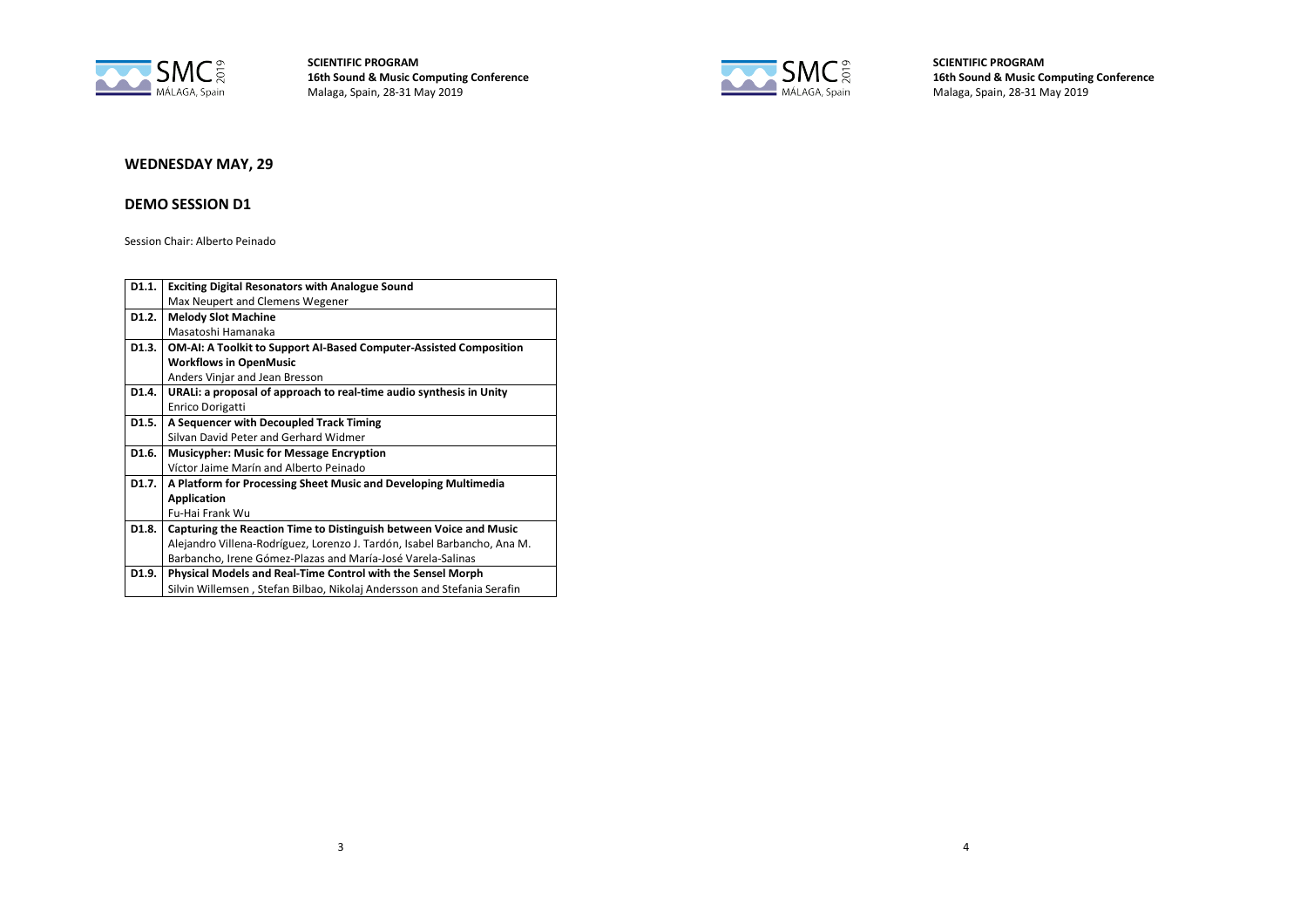



**SCIENTIFIC PROGRAM 16th Sound & Music Computing Conference** Malaga, Spain, 28-31 May 2019

# **WEDNESDAY MAY, 29**

### **DEMO SESSION D1**

Session Chair: Alberto Peinado

| D1.1.              | <b>Exciting Digital Resonators with Analogue Sound</b>                    |
|--------------------|---------------------------------------------------------------------------|
|                    | Max Neupert and Clemens Wegener                                           |
| D <sub>1</sub> .2. | <b>Melody Slot Machine</b>                                                |
|                    | Masatoshi Hamanaka                                                        |
| D1.3.              | <b>OM-AI: A Toolkit to Support AI-Based Computer-Assisted Composition</b> |
|                    | <b>Workflows in OpenMusic</b>                                             |
|                    | Anders Vinjar and Jean Bresson                                            |
| D <sub>1.4</sub> . | URALI: a proposal of approach to real-time audio synthesis in Unity       |
|                    | <b>Enrico Dorigatti</b>                                                   |
| D1.5.              | A Sequencer with Decoupled Track Timing                                   |
|                    | Silvan David Peter and Gerhard Widmer                                     |
| D1.6.              | <b>Musicypher: Music for Message Encryption</b>                           |
|                    | Víctor Jaime Marín and Alberto Peinado                                    |
| D1.7.              | A Platform for Processing Sheet Music and Developing Multimedia           |
|                    | <b>Application</b>                                                        |
|                    | Fu-Hai Frank Wu                                                           |
| D <sub>1.8</sub> . | Capturing the Reaction Time to Distinguish between Voice and Music        |
|                    | Alejandro Villena-Rodríguez, Lorenzo J. Tardón, Isabel Barbancho, Ana M.  |
|                    | Barbancho, Irene Gómez-Plazas and María-José Varela-Salinas               |
| D1.9.              | Physical Models and Real-Time Control with the Sensel Morph               |
|                    | Silvin Willemsen, Stefan Bilbao, Nikolaj Andersson and Stefania Serafin   |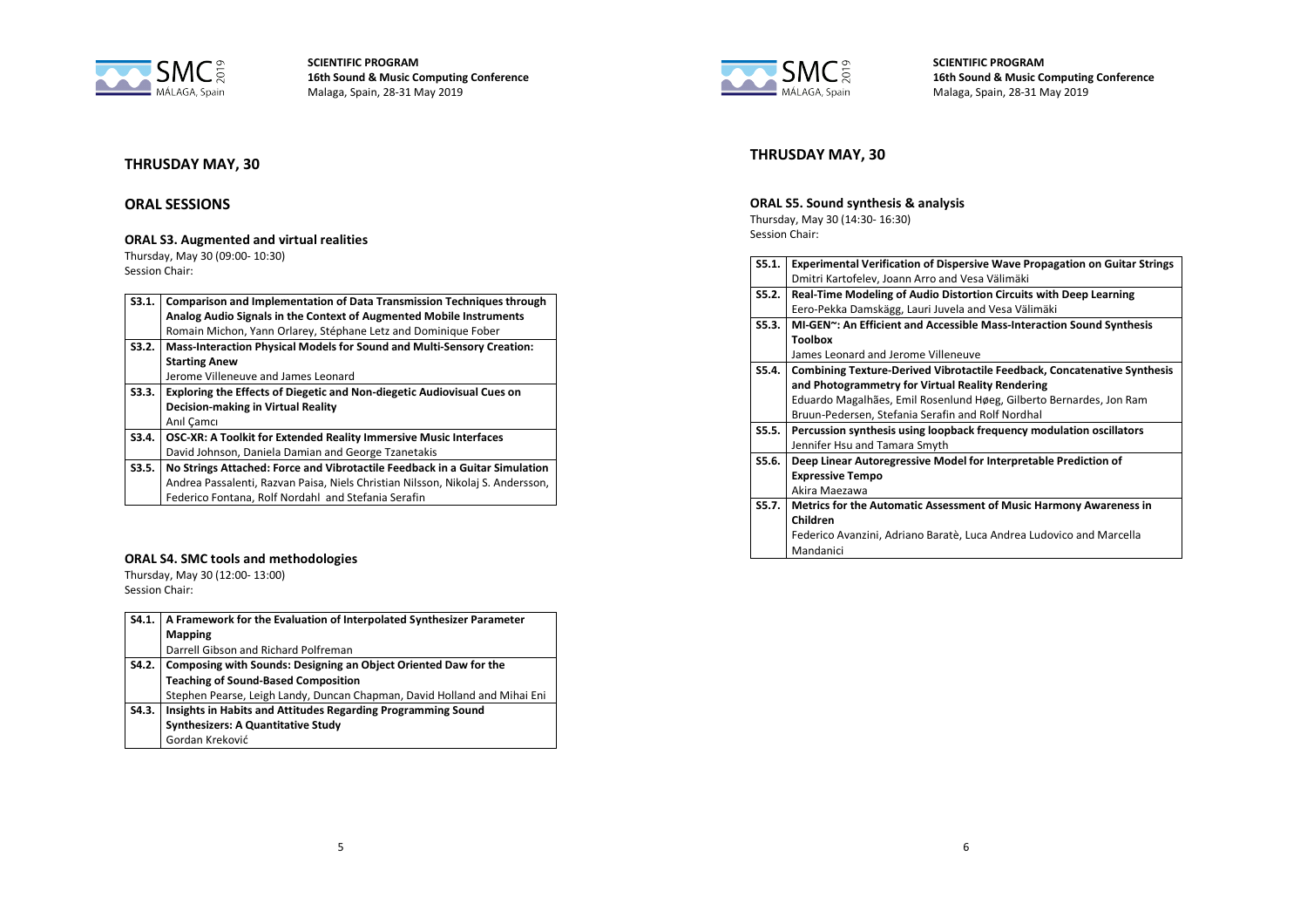

# **THRUSDAY MAY, 30**

## **ORAL SESSIONS**

## **ORAL S3. Augmented and virtual realities**

Thursday, May 30 (09:00- 10:30) Session Chair:

| S3.1. | <b>Comparison and Implementation of Data Transmission Techniques through</b>    |
|-------|---------------------------------------------------------------------------------|
|       | Analog Audio Signals in the Context of Augmented Mobile Instruments             |
|       | Romain Michon, Yann Orlarey, Stéphane Letz and Dominique Fober                  |
| S3.2. | Mass-Interaction Physical Models for Sound and Multi-Sensory Creation:          |
|       | <b>Starting Anew</b>                                                            |
|       | Jerome Villeneuve and James Leonard                                             |
| S3.3. | Exploring the Effects of Diegetic and Non-diegetic Audiovisual Cues on          |
|       | <b>Decision-making in Virtual Reality</b>                                       |
|       | Anıl Camcı                                                                      |
| S3.4. | <b>OSC-XR: A Toolkit for Extended Reality Immersive Music Interfaces</b>        |
|       | David Johnson, Daniela Damian and George Tzanetakis                             |
| S3.5. | No Strings Attached: Force and Vibrotactile Feedback in a Guitar Simulation     |
|       | Andrea Passalenti, Razvan Paisa, Niels Christian Nilsson, Nikolaj S. Andersson, |
|       | Federico Fontana, Rolf Nordahl and Stefania Serafin                             |

### **ORAL S4. SMC tools and methodologies**

Thursday, May 30 (12:00- 13:00) Session Chair:

| S4.1. | A Framework for the Evaluation of Interpolated Synthesizer Parameter     |
|-------|--------------------------------------------------------------------------|
|       | <b>Mapping</b>                                                           |
|       | Darrell Gibson and Richard Polfreman                                     |
| S4.2. | Composing with Sounds: Designing an Object Oriented Daw for the          |
|       | <b>Teaching of Sound-Based Composition</b>                               |
|       | Stephen Pearse, Leigh Landy, Duncan Chapman, David Holland and Mihai Eni |
| S4.3. | Insights in Habits and Attitudes Regarding Programming Sound             |
|       | <b>Synthesizers: A Quantitative Study</b>                                |
|       | Gordan Kreković                                                          |



**SCIENTIFIC PROGRAM 16th Sound & Music Computing Conference** Malaga, Spain, 28-31 May 2019

# **THRUSDAY MAY, 30**

### **ORAL S5. Sound synthesis & analysis**

Thursday, May 30 (14:30- 16:30) Session Chair:

| S5.1. | <b>Experimental Verification of Dispersive Wave Propagation on Guitar Strings</b> |
|-------|-----------------------------------------------------------------------------------|
|       | Dmitri Kartofelev, Joann Arro and Vesa Välimäki                                   |
| S5.2. | Real-Time Modeling of Audio Distortion Circuits with Deep Learning                |
|       | Eero-Pekka Damskägg, Lauri Juvela and Vesa Välimäki                               |
| S5.3. | MI-GEN~: An Efficient and Accessible Mass-Interaction Sound Synthesis             |
|       | <b>Toolbox</b>                                                                    |
|       | James Leonard and Jerome Villeneuve                                               |
| S5.4. | <b>Combining Texture-Derived Vibrotactile Feedback, Concatenative Synthesis</b>   |
|       | and Photogrammetry for Virtual Reality Rendering                                  |
|       | Eduardo Magalhães, Emil Rosenlund Høeg, Gilberto Bernardes, Jon Ram               |
|       | Bruun-Pedersen, Stefania Serafin and Rolf Nordhal                                 |
| S5.5. | Percussion synthesis using loopback frequency modulation oscillators              |
|       | Jennifer Hsu and Tamara Smyth                                                     |
| S5.6. | Deep Linear Autoregressive Model for Interpretable Prediction of                  |
|       | <b>Expressive Tempo</b>                                                           |
|       | Akira Maezawa                                                                     |
| S5.7. | Metrics for the Automatic Assessment of Music Harmony Awareness in                |
|       | Children                                                                          |
|       | Federico Avanzini, Adriano Baratè, Luca Andrea Ludovico and Marcella              |
|       | Mandanici                                                                         |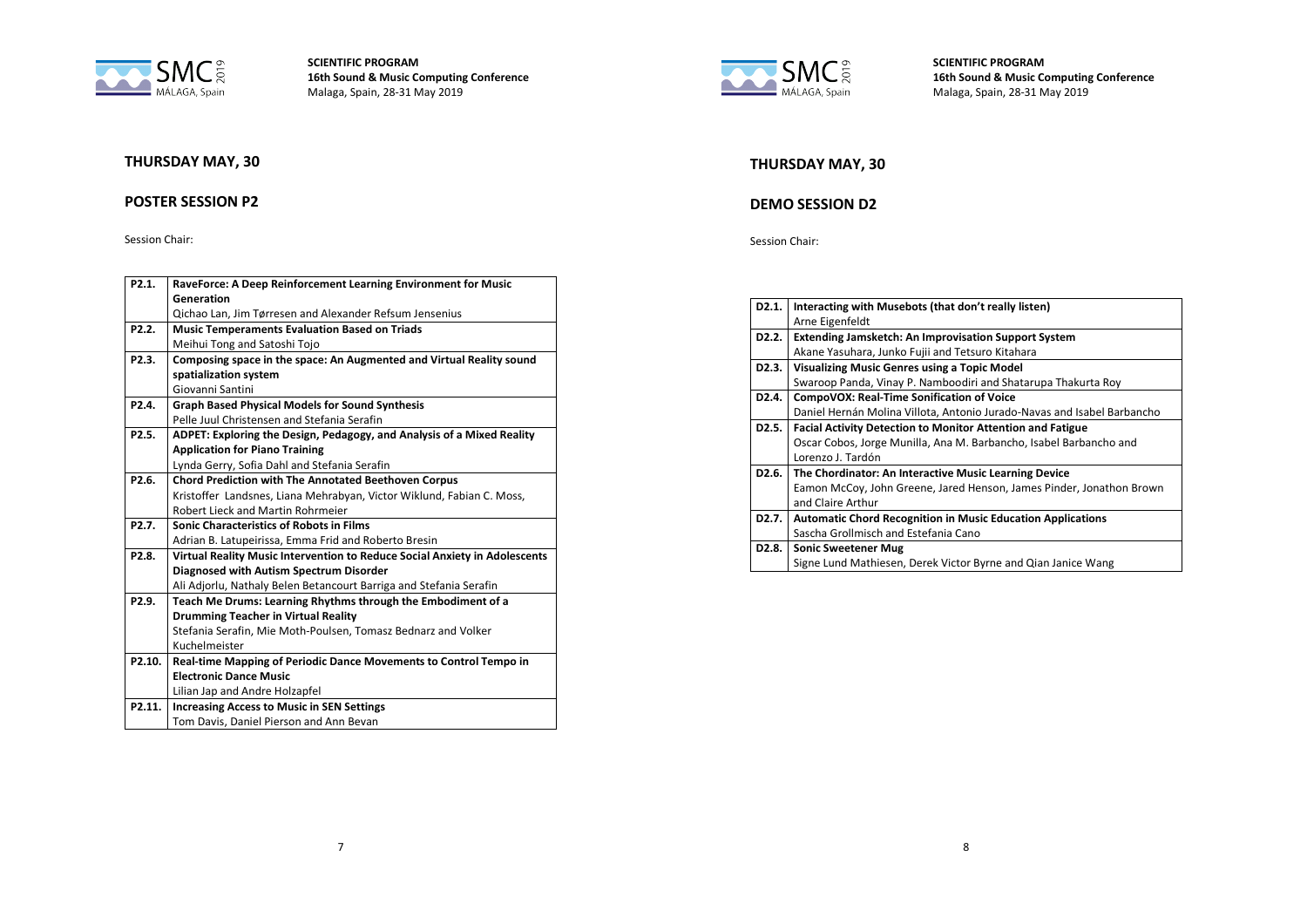



### **POSTER SESSION P2**

Session Chair:

| P2.1.               | RaveForce: A Deep Reinforcement Learning Environment for Music             |
|---------------------|----------------------------------------------------------------------------|
|                     | Generation                                                                 |
|                     | Qichao Lan, Jim Tørresen and Alexander Refsum Jensenius                    |
| P <sub>2.2</sub> .  | <b>Music Temperaments Evaluation Based on Triads</b>                       |
|                     | Meihui Tong and Satoshi Tojo                                               |
| P <sub>2.3</sub> .  | Composing space in the space: An Augmented and Virtual Reality sound       |
|                     | spatialization system                                                      |
|                     | Giovanni Santini                                                           |
| P <sub>2.4</sub>    | <b>Graph Based Physical Models for Sound Synthesis</b>                     |
|                     | Pelle Juul Christensen and Stefania Serafin                                |
| P <sub>2.5</sub> .  | ADPET: Exploring the Design, Pedagogy, and Analysis of a Mixed Reality     |
|                     | <b>Application for Piano Training</b>                                      |
|                     | Lynda Gerry, Sofia Dahl and Stefania Serafin                               |
| P <sub>2.6</sub> .  | <b>Chord Prediction with The Annotated Beethoven Corpus</b>                |
|                     | Kristoffer Landsnes, Liana Mehrabyan, Victor Wiklund, Fabian C. Moss,      |
|                     | Robert Lieck and Martin Rohrmeier                                          |
| P <sub>2.7</sub> .  | <b>Sonic Characteristics of Robots in Films</b>                            |
|                     | Adrian B. Latupeirissa, Emma Frid and Roberto Bresin                       |
| P <sub>2.8</sub> .  | Virtual Reality Music Intervention to Reduce Social Anxiety in Adolescents |
|                     | Diagnosed with Autism Spectrum Disorder                                    |
|                     | Ali Adjorlu, Nathaly Belen Betancourt Barriga and Stefania Serafin         |
| P <sub>2.9</sub> .  | Teach Me Drums: Learning Rhythms through the Embodiment of a               |
|                     | <b>Drumming Teacher in Virtual Reality</b>                                 |
|                     | Stefania Serafin, Mie Moth-Poulsen, Tomasz Bednarz and Volker              |
|                     | Kuchelmeister                                                              |
| P <sub>2.10</sub> . | Real-time Mapping of Periodic Dance Movements to Control Tempo in          |
|                     | <b>Electronic Dance Music</b>                                              |
|                     | Lilian Jap and Andre Holzapfel                                             |
| P2.11.              | <b>Increasing Access to Music in SEN Settings</b>                          |
|                     | Tom Davis, Daniel Pierson and Ann Bevan                                    |



**SCIENTIFIC PROGRAM 16th Sound & Music Computing Conference** Malaga, Spain, 28-31 May 2019

## **THURSDAY MAY, 30**

# **DEMO SESSION D2**

#### Session Chair:

| D <sub>2</sub> .1. | Interacting with Musebots (that don't really listen)                    |
|--------------------|-------------------------------------------------------------------------|
|                    | Arne Eigenfeldt                                                         |
| D <sub>2</sub> .2. | Extending Jamsketch: An Improvisation Support System                    |
|                    | Akane Yasuhara, Junko Fujii and Tetsuro Kitahara                        |
| D <sub>2</sub> .3. | <b>Visualizing Music Genres using a Topic Model</b>                     |
|                    | Swaroop Panda, Vinay P. Namboodiri and Shatarupa Thakurta Roy           |
| D <sub>2</sub> .4. | CompoVOX: Real-Time Sonification of Voice                               |
|                    | Daniel Hernán Molina Villota, Antonio Jurado-Navas and Isabel Barbancho |
| D <sub>2</sub> .5. | <b>Facial Activity Detection to Monitor Attention and Fatigue</b>       |
|                    | Oscar Cobos, Jorge Munilla, Ana M. Barbancho, Isabel Barbancho and      |
|                    | Lorenzo J. Tardón                                                       |
| D <sub>2</sub> .6. | The Chordinator: An Interactive Music Learning Device                   |
|                    | Eamon McCoy, John Greene, Jared Henson, James Pinder, Jonathon Brown    |
|                    | and Claire Arthur                                                       |
| D2.7.              | <b>Automatic Chord Recognition in Music Education Applications</b>      |
|                    | Sascha Grollmisch and Estefania Cano                                    |
| D <sub>2</sub> .8. | <b>Sonic Sweetener Mug</b>                                              |
|                    | Signe Lund Mathiesen, Derek Victor Byrne and Qian Janice Wang           |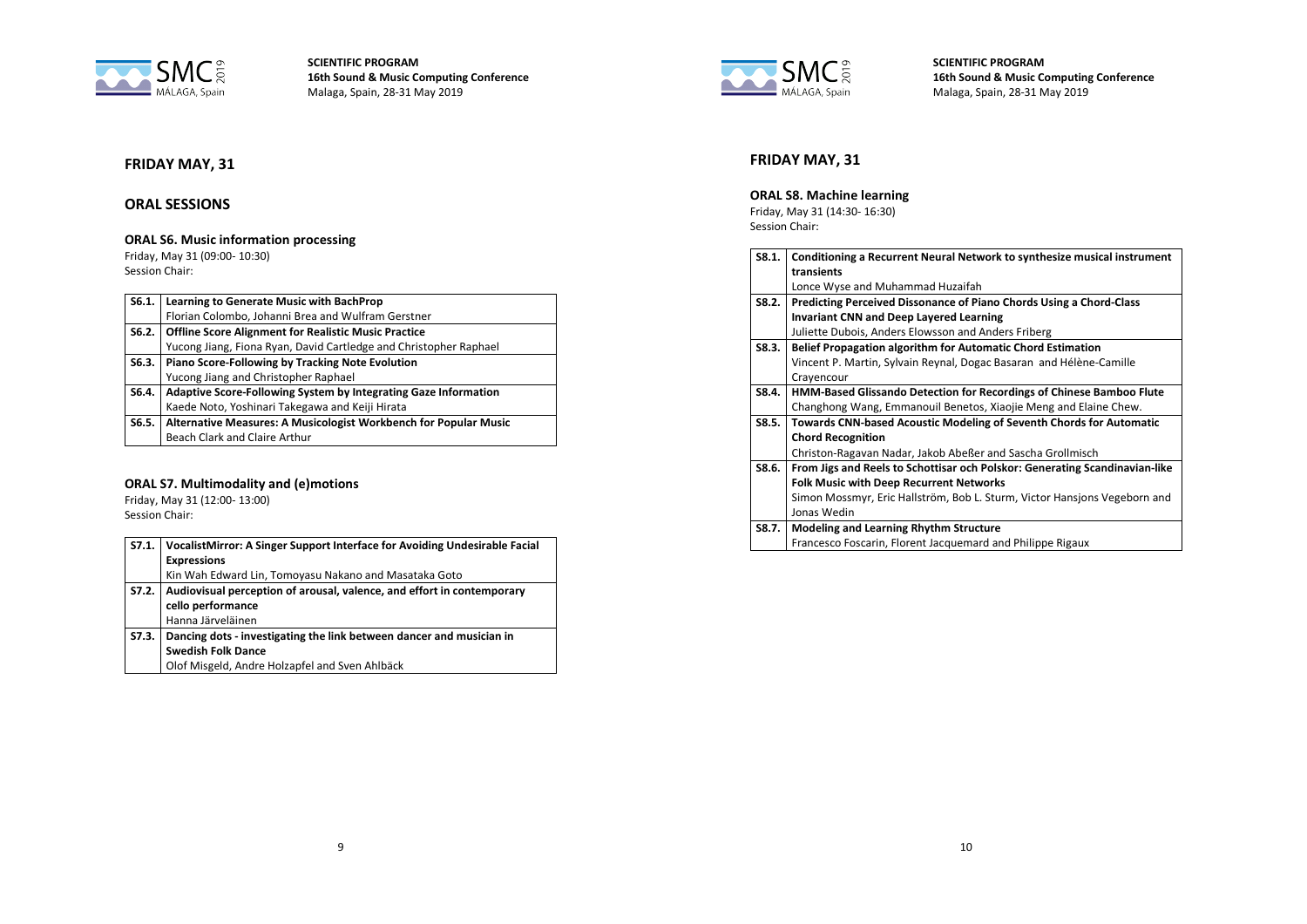

# **FRIDAY MAY, 31**

## **ORAL SESSIONS**

# **ORAL S6. Music information processing**

Friday, May 31 (09:00- 10:30) Session Chair:

| S6.1. | Learning to Generate Music with BachProp                          |
|-------|-------------------------------------------------------------------|
|       | Florian Colombo, Johanni Brea and Wulfram Gerstner                |
| S6.2. | <b>Offline Score Alignment for Realistic Music Practice</b>       |
|       | Yucong Jiang, Fiona Ryan, David Cartledge and Christopher Raphael |
| S6.3. | Piano Score-Following by Tracking Note Evolution                  |
|       | Yucong Jiang and Christopher Raphael                              |
| S6.4. | Adaptive Score-Following System by Integrating Gaze Information   |
|       | Kaede Noto, Yoshinari Takegawa and Keiji Hirata                   |
| S6.5. | Alternative Measures: A Musicologist Workbench for Popular Music  |
|       | Beach Clark and Claire Arthur                                     |

### **ORAL S7. Multimodality and (e)motions**

Friday, May 31 (12:00- 13:00) Session Chair:

| S7.1. | VocalistMirror: A Singer Support Interface for Avoiding Undesirable Facial<br><b>Expressions</b><br>Kin Wah Edward Lin, Tomoyasu Nakano and Masataka Goto |
|-------|-----------------------------------------------------------------------------------------------------------------------------------------------------------|
| S7.2. | Audiovisual perception of arousal, valence, and effort in contemporary<br>cello performance<br>Hanna Järveläinen                                          |
| S7.3. | Dancing dots - investigating the link between dancer and musician in<br><b>Swedish Folk Dance</b><br>Olof Misgeld, Andre Holzapfel and Sven Ahlbäck       |



**SCIENTIFIC PROGRAM 16th Sound & Music Computing Conference** Malaga, Spain, 28-31 May 2019

# **FRIDAY MAY, 31**

### **ORAL S8. Machine learning**

Friday, May 31 (14:30- 16:30) Session Chair:

| S8.1. | Conditioning a Recurrent Neural Network to synthesize musical instrument    |
|-------|-----------------------------------------------------------------------------|
|       | transients                                                                  |
|       | Lonce Wyse and Muhammad Huzaifah                                            |
| S8.2. | Predicting Perceived Dissonance of Piano Chords Using a Chord-Class         |
|       | <b>Invariant CNN and Deep Layered Learning</b>                              |
|       | Juliette Dubois, Anders Elowsson and Anders Friberg                         |
| S8.3. | <b>Belief Propagation algorithm for Automatic Chord Estimation</b>          |
|       | Vincent P. Martin, Sylvain Reynal, Dogac Basaran and Hélène-Camille         |
|       | Crayencour                                                                  |
| S8.4. | HMM-Based Glissando Detection for Recordings of Chinese Bamboo Flute        |
|       | Changhong Wang, Emmanouil Benetos, Xiaojie Meng and Elaine Chew.            |
| S8.5. | Towards CNN-based Acoustic Modeling of Seventh Chords for Automatic         |
|       | <b>Chord Recognition</b>                                                    |
|       | Christon-Ragavan Nadar, Jakob Abeßer and Sascha Grollmisch                  |
| S8.6. | From Jigs and Reels to Schottisar och Polskor: Generating Scandinavian-like |
|       | <b>Folk Music with Deep Recurrent Networks</b>                              |
|       | Simon Mossmyr, Eric Hallström, Bob L. Sturm, Victor Hansjons Vegeborn and   |
|       | Jonas Wedin                                                                 |
| S8.7. | <b>Modeling and Learning Rhythm Structure</b>                               |
|       | Francesco Foscarin, Florent Jacquemard and Philippe Rigaux                  |